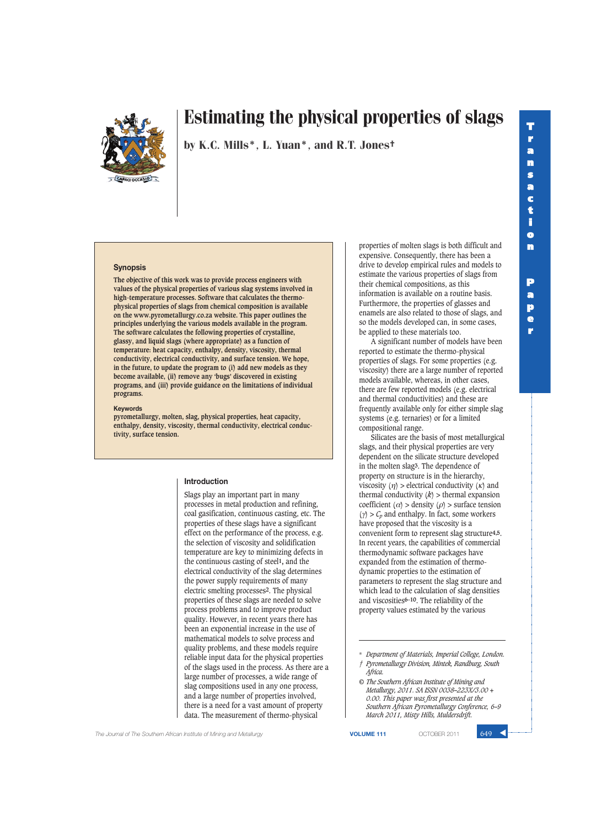

by K.C. Mills\*, L. Yuan\*, and R.T. Jones†

## **Synopsis**

**The objective of this work was to provide process engineers with values of the physical properties of various slag systems involved in high-temperature processes. Software that calculates the thermophysical properties of slags from chemical composition is available on the www.pyrometallurgy.co.za website. This paper outlines the principles underlying the various models available in the program. The software calculates the following properties of crystalline, glassy, and liquid slags (where appropriate) as a function of temperature: heat capacity, enthalpy, density, viscosity, thermal conductivity, electrical conductivity, and surface tension. We hope, in the future, to update the program to (i) add new models as they become available, (ii) remove any 'bugs' discovered in existing programs, and (iii) provide guidance on the limitations of individual programs.**

#### **Keywords**

**pyrometallurgy, molten, slag, physical properties, heat capacity, enthalpy, density, viscosity, thermal conductivity, electrical conductivity, surface tension.**

#### **Introduction**

Slags play an important part in many processes in metal production and refining, coal gasification, continuous casting, etc. The properties of these slags have a significant effect on the performance of the process, e.g. the selection of viscosity and solidification temperature are key to minimizing defects in the continuous casting of steel**1,** and the electrical conductivity of the slag determines the power supply requirements of many electric smelting processes**2**. The physical properties of these slags are needed to solve process problems and to improve product quality. However, in recent years there has been an exponential increase in the use of mathematical models to solve process and quality problems, and these models require reliable input data for the physical properties of the slags used in the process. As there are a large number of processes, a wide range of slag compositions used in any one process, and a large number of properties involved, there is a need for a vast amount of property data. The measurement of thermo-physical

properties of molten slags is both difficult and expensive. Consequently, there has been a drive to develop empirical rules and models to estimate the various properties of slags from their chemical compositions, as this information is available on a routine basis. Furthermore, the properties of glasses and enamels are also related to those of slags, and so the models developed can, in some cases, be applied to these materials too.

A significant number of models have been reported to estimate the thermo-physical properties of slags. For some properties (e.g. viscosity) there are a large number of reported models available, whereas, in other cases, there are few reported models (e.g. electrical and thermal conductivities) and these are frequently available only for either simple slag systems (e.g. ternaries) or for a limited compositional range.

Silicates are the basis of most metallurgical slags, and their physical properties are very dependent on the silicate structure developed in the molten slag**3**. The dependence of property on structure is in the hierarchy, viscosity  $(n)$  > electrical conductivity  $(\kappa)$  and thermal conductivity  $(k)$  > thermal expansion coefficient ( $\alpha$ ) > density ( $\rho$ ) > surface tension  $(y) > C_p$  and enthalpy. In fact, some workers have proposed that the viscosity is a convenient form to represent slag structure**4,5**. In recent years, the capabilities of commercial thermodynamic software packages have expanded from the estimation of thermodynamic properties to the estimation of parameters to represent the slag structure and which lead to the calculation of slag densities and viscosities**6–10**. The reliability of the property values estimated by the various

*© The Southern African Institute of Mining and Metallurgy, 2011. SA ISSN 0038–223X/3.00 + 0.00. This paper was first presented at the Southern African Pyrometallurgy Conference, 6–9 March 2011, Misty Hills, Muldersdrift.*

**The Journal of The Southern African Institute of Mining and Metallurgy <b>VOLUME 111 VOLUME 111 COTOBER 2011** 649

<sup>\*</sup> *Department of Materials, Imperial College, London. † Pyrometallurgy Division, Mintek, Randburg, South Africa.*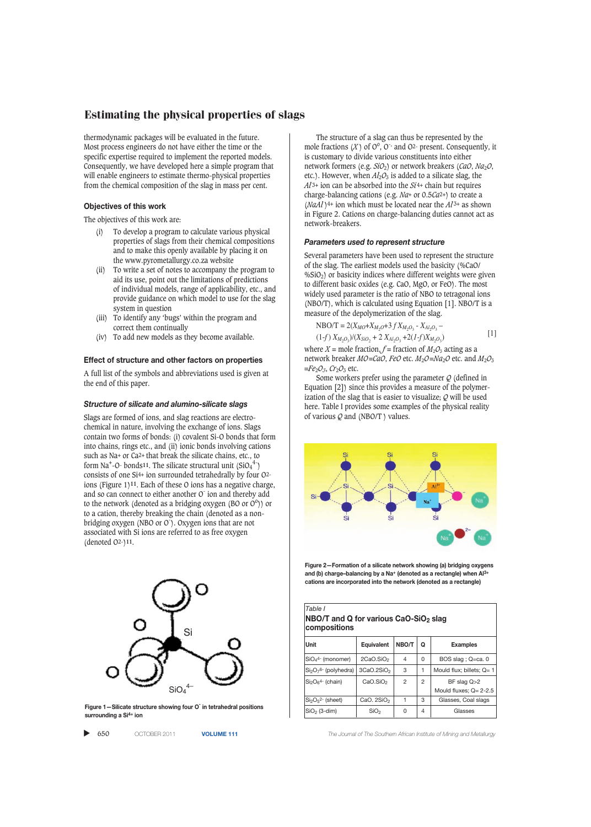thermodynamic packages will be evaluated in the future. Most process engineers do not have either the time or the specific expertise required to implement the reported models. Consequently, we have developed here a simple program that will enable engineers to estimate thermo-physical properties from the chemical composition of the slag in mass per cent.

## **Objectives of this work**

The objectives of this work are:

- (i) To develop a program to calculate various physical properties of slags from their chemical compositions and to make this openly available by placing it on the www.pyrometallurgy.co.za website
- (ii) To write a set of notes to accompany the program to aid its use, point out the limitations of predictions of individual models, range of applicability, etc., and provide guidance on which model to use for the slag system in question
- (iii) To identify any 'bugs' within the program and correct them continually
- (iv) To add new models as they become available.

#### **Effect of structure and other factors on properties**

A full list of the symbols and abbreviations used is given at the end of this paper.

#### *Structure of silicate and alumino-silicate slags*

Slags are formed of ions, and slag reactions are electrochemical in nature, involving the exchange of ions. Slags contain two forms of bonds: (i) covalent Si-O bonds that form into chains, rings etc., and (ii) ionic bonds involving cations such as Na+ or Ca2+ that break the silicate chains, etc., to form Na<sup>+</sup>-O- bonds<sup>11</sup>. The silicate structural unit  $(SiO_4^4)$ consists of one Si4+ ion surrounded tetrahedrally by four O2 ions (Figure 1)**11**. Each of these O ions has a negative charge, and so can connect to either another O<sup>-</sup> ion and thereby add to the network (denoted as a bridging oxygen (BO or  $O^{\circ}$ )) or to a cation, thereby breaking the chain (denoted as a nonbridging oxygen (NBO or O<sup>-</sup>). Oxygen ions that are not associated with Si ions are referred to as free oxygen (denoted O2-)**11**.



**Figure 1—Silicate structure showing four O-in tetrahedral positions surrounding a Si4+ ion**

 $\blacktriangleright$ 650 OCTOBER 2011 **VOLUME 111** *The Journal of The Southern African Institute of Mining and Metallurgy*

The structure of a slag can thus be represented by the mole fractions  $(X)$  of  $O^{\circ}$ ,  $O^{\circ}$  and  $O^{\circ}$ - present. Consequently, it is customary to divide various constituents into either network formers (e.g. *SiO*2) or network breakers (*CaO*, *Na*2*O*, etc.). However, when  $Al_2O_3$  is added to a silicate slag, the  $Al^{3+}$  ion can be absorbed into the  $Si^{4+}$  chain but requires charge-balancing cations (e.g. *Na*+ or 0.5*Ca*2+) to create a (*NaAl* )4+ ion which must be located near the *Al* 3+ as shown in Figure 2. Cations on charge-balancing duties cannot act as network-breakers.

#### *Parameters used to represent structure*

Several parameters have been used to represent the structure of the slag. The earliest models used the basicity (%CaO/  $\%SiO<sub>2</sub>$ ) or basicity indices where different weights were given to different basic oxides (e.g. CaO, MgO, or FeO). The most widely used parameter is the ratio of NBO to tetragonal ions (NBO/T), which is calculated using Equation [1]. NBO/T is a measure of the depolymerization of the slag.

$$
NBO/T = 2(X_{MO} + X_{M_2O} + 3 f X_{M_2O_3} - X_{A l_2O_3} - (1-f) X_{M_2O_3})/(X_{SiO_2} + 2 X_{A l_2O_3} + 2(I-f) X_{M_2O_3})
$$
\n[1]

where  $X =$  mole fraction,  $f =$  fraction of  $M_2O_3$  acting as a network breaker *MO*=*CaO*, *FeO* etc. *M*<sub>2</sub>*O*=*Na*<sub>2</sub>*O* etc. and *M*<sub>2</sub>*O*<sub>3</sub> =*Fe*2*O3*, *Cr*2*O*<sup>3</sup> etc.

Some workers prefer using the parameter *Q* (defined in Equation [2]) since this provides a measure of the polymerization of the slag that is easier to visualize; *Q* will be used here. Table I provides some examples of the physical reality of various *Q* and (NBO/T ) values.



**Figure 2—Formation of a silicate network showing (a) bridging oxygens** and (b) charge-balancing by a Na<sup>+</sup> (denoted as a rectangle) when Al **cations are incorporated into the network (denoted as a rectangle)**

| Table I<br>NBO/T and Q for various CaO-SiO2 slag<br>compositions |                        |       |                |                                                |
|------------------------------------------------------------------|------------------------|-------|----------------|------------------------------------------------|
| <b>Unit</b>                                                      | <b>Equivalent</b>      | NBO/T | Q              | <b>Examples</b>                                |
| $SiO44- (monomer)$                                               | 2CaO.SiO <sub>2</sub>  | 4     | 0              | BOS slag ; Q=ca. 0                             |
| $Si2O76$ - (polyhedra)                                           | 3CaO.2SiO <sub>2</sub> | 3     | 1              | Mould flux; billets; $Q = 1$                   |
| $Si2O64$ - (chain)                                               | CaO.SIO <sub>2</sub>   | 2     | $\overline{2}$ | $BF$ slag $Q > 2$<br>Mould fluxes; $Q = 2-2.5$ |
| $Si2O52$ - (sheet)                                               | CaO. $2SiO2$           | 1     | 3              | Glasses, Coal slags                            |
| $SiO2$ (3-dim)                                                   | SiO <sub>2</sub>       | O     | 4              | Glasses                                        |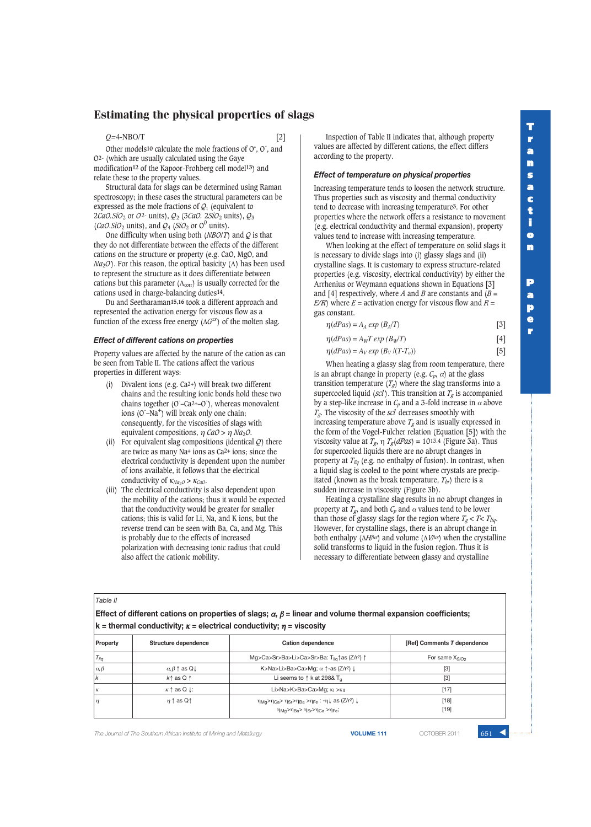## *Q=*4-NBO/T [2]

Other models<sup>10</sup> calculate the mole fractions of O°, O<sup>-</sup>, and O2- (which are usually calculated using the Gaye modification**12** of the Kapoor-Frohberg cell model**13**) and relate these to the property values.

Structural data for slags can be determined using Raman spectroscopy; in these cases the structural parameters can be expressed as the mole fractions of  $Q_1$  (equivalent to 2*CaO.SiO*<sup>2</sup> or *O*2- units), *Q*<sup>2</sup> (3*CaO.* 2*SiO*<sup>2</sup> units), *Q*<sup>3</sup> (*CaO.SiO*<sub>2</sub> units), and  $Q_4$  (*SiO*<sub>2</sub> or O<sup>0</sup> units).

One difficulty when using both (*NBO*/*T*) and *Q* is that they do not differentiate between the effects of the different cations on the structure or property (e.g. CaO, MgO, and *Na*<sub>2</sub>*O*). For this reason, the optical basicity (Λ) has been used to represent the structure as it does differentiate between cations but this parameter  $(\Lambda_{\text{corr}})$  is usually corrected for the cations used in charge-balancing duties**14**.

Du and Seetharaman**15,16** took a different approach and represented the activation energy for viscous flow as a function of the excess free energy  $(\Delta G^{xS})$  of the molten slag.

# *Effect of different cations on properties*

Property values are affected by the nature of the cation as can be seen from Table II. The cations affect the various properties in different ways:

- (i) Divalent ions (e.g. Ca2+) will break two different chains and the resulting ionic bonds hold these two chains together (O<sup>-</sup>-Ca<sup>2+-O</sup>), whereas monovalent ions (O<sup>-</sup>-Na<sup>+</sup>) will break only one chain; consequently, for the viscosities of slags with equivalent compositions, η *CaO* > η *Na*2*O*.
- (ii) For equivalent slag compositions (identical *Q*) there are twice as many Na+ ions as Ca2+ ions; since the electrical conductivity is dependent upon the number of ions available, it follows that the electrical conductivity of <sup>κ</sup>*Na*2*<sup>O</sup>* > <sup>κ</sup>*CaO*.
- (iii) The electrical conductivity is also dependent upon the mobility of the cations; thus it would be expected that the conductivity would be greater for smaller cations; this is valid for Li, Na, and K ions, but the reverse trend can be seen with Ba, Ca, and Mg. This is probably due to the effects of increased polarization with decreasing ionic radius that could also affect the cationic mobility.

Inspection of Table II indicates that, although property values are affected by different cations, the effect differs according to the property.

## *Effect of temperature on physical properties*

Increasing temperature tends to loosen the network structure. Thus properties such as viscosity and thermal conductivity tend to decrease with increasing temperature**3**. For other properties where the network offers a resistance to movement (e.g. electrical conductivity and thermal expansion), property values tend to increase with increasing temperature.

When looking at the effect of temperature on solid slags it is necessary to divide slags into (i) glassy slags and (ii) crystalline slags. It is customary to express structure-related properties (e.g. viscosity, electrical conductivity) by either the Arrhenius or Weymann equations shown in Equations [3] and [4] respectively, where *A* and *B* are constants and  $(B =$ *E/R*) where  $E =$  activation energy for viscous flow and  $R =$ gas constant.

| $\eta(dPas) = A_A exp(B_A/T)$       | $\lceil 3 \rceil$ |
|-------------------------------------|-------------------|
| $\eta(dPas) = A_W T exp (B_W/T)$    | [4]               |
| $\eta(dPas) = A_V exp(B_V/(T-T_o))$ | $\vert 5 \vert$   |

When heating a glassy slag from room temperature, there is an abrupt change in property (e.g.  $C_p$ ,  $\alpha$ ) at the glass transition temperature  $(T_g)$  where the slag transforms into a supercooled liquid ( $\mathcal{S}cl$ ). This transition at  $T_g$  is accompanied by a step-like increase in  $C_p$  and a 3-fold increase in  $\alpha$  above *Tg*. The viscosity of the *scl* decreases smoothly with increasing temperature above  $T_g$  and is usually expressed in the form of the Vogel-Fulcher relation (Equation [5]) with the viscosity value at  $T_g$ ,  $\eta$   $T_g(dPas) = 10^{13.4}$  (Figure 3a). Thus for supercooled liquids there are no abrupt changes in property at *Tliq* (e.g. no enthalpy of fusion). In contrast, when a liquid slag is cooled to the point where crystals are precipitated (known as the break temperature,  $T_{br}$ ) there is a sudden increase in viscosity (Figure 3b).

Heating a crystalline slag results in no abrupt changes in property at  $T_g$ , and both  $C_p$  and  $\alpha$  values tend to be lower than those of glassy slags for the region where  $T_g < T < T_{liq}$ . However, for crystalline slags, there is an abrupt change in both enthalpy (Δ*Hfus*) and volume (Δ*Vfus*) when the crystalline solid transforms to liquid in the fusion region. Thus it is necessary to differentiate between glassy and crystalline

*Table II*

**Effect of different cations on properties of slags;**  $\alpha$ **,**  $\beta$  **= linear and volume thermal expansion coefficients; k** = thermal conductivity;  $\kappa$  = electrical conductivity;  $\eta$  = viscosity

| Property        | Structure dependence                  | Cation dependence                                                                                                                                                                                                                                            | [Ref] Comments T dependence |
|-----------------|---------------------------------------|--------------------------------------------------------------------------------------------------------------------------------------------------------------------------------------------------------------------------------------------------------------|-----------------------------|
| $T_{liq}$       |                                       | Mg>Ca>Sr>Ba>Li>Ca>Sr>Ba: T <sub>lig</sub> ↑as (Z/r <sup>2</sup> ) ↑                                                                                                                                                                                          | For same X <sub>SiO2</sub>  |
| $\alpha, \beta$ | $\alpha, \beta$ $\uparrow$ as Q       | K>Na>Li>Ba>Ca>Mg; $\alpha$ $\uparrow$ -as (Z/r <sup>2</sup> ) $\downarrow$                                                                                                                                                                                   | $[3]$                       |
| ۱k              | $k \uparrow$ as Q $\uparrow$          | Li seems to $\uparrow$ k at 298& T <sub>a</sub>                                                                                                                                                                                                              | $[3]$                       |
| К               | $\kappa \uparrow$ as Q $\downarrow$ : | Li>Na>K>Ba>Ca>Mg; $\kappa_1 > \kappa_{II}$                                                                                                                                                                                                                   | $[17]$                      |
| $\eta$          | $\eta \uparrow$ as Q $\uparrow$       | $\eta_{\text{Mq}}$ > $\eta_{\text{Ca}}$ > $\eta_{\text{Sr}}$ > $\eta_{\text{Ba}}$ > $\eta_{\text{Fe}}$ : - $\eta$ $\downarrow$ as (Z/r <sup>2</sup> ) $\downarrow$<br>η <sub>Mg</sub> >η <sub>Ba</sub> > η <sub>Sr</sub> >η <sub>Ca</sub> >η <sub>Fe</sub> ; | $[18]$<br>$[19]$            |

**The Journal of The Southern African Institute of Mining and Metallurgy <b>VOLUME 111 VOLUME 111 COTOBER 2011** 651 **651**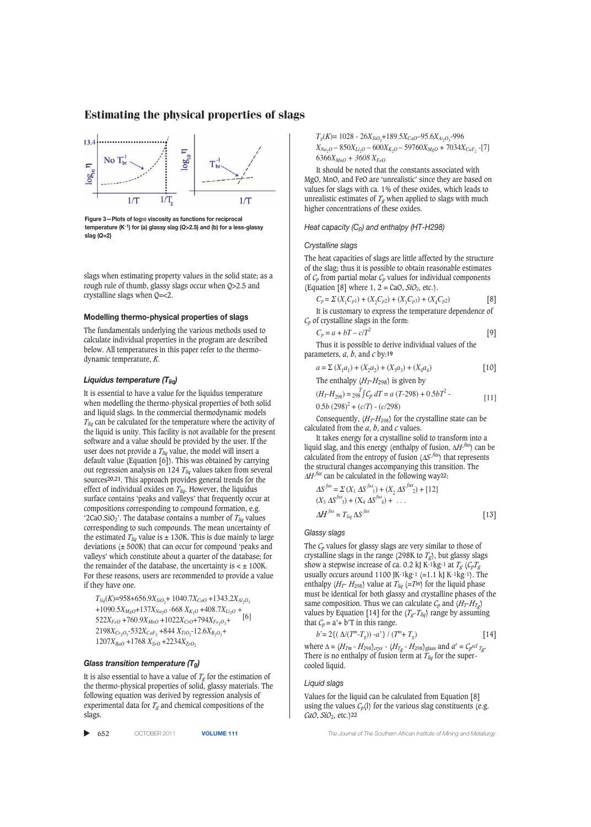# $\mathbf{E}$  estimating the properties of slags of slags of slags of slags of slags of slags of slags of slags of slags of slags of slags of slags of slags of slags of slags of slags of slags of slags of slags of slags of sla



**Figure 3—Plots of log10 viscosity as functions for reciprocal temperature (K-1) for (a) glassy slag (***Q***>2.5) and (b) for a less-glassy slag (***Q***=2)**

slags when estimating property values in the solid state; as a rough rule of thumb, glassy slags occur when Q>2.5 and crystalline slags when Q=<2.

# **Modelling thermo-physical properties of slags**

The fundamentals underlying the various methods used to calculate individual properties in the program are described below. All temperatures in this paper refer to the thermodynamic temperature, *K*.

## *Liquidus temperature (Tliq)*

It is essential to have a value for the liquidus temperature when modelling the thermo-physical properties of both solid and liquid slags. In the commercial thermodynamic models *Tliq* can be calculated for the temperature where the activity of the liquid is unity. This facility is not available for the present software and a value should be provided by the user. If the user does not provide a  $T_{liq}$  value, the model will insert a default value (Equation [6]). This was obtained by carrying out regression analysis on 124 *Tliq* values taken from several sources**20,21**. This approach provides general trends for the effect of individual oxides on *T<sub>liq</sub>*. However, the liquidus surface contains 'peaks and valleys' that frequently occur at compositions corresponding to compound formation, e.g. '2CaO.SiO<sub>2</sub>'. The database contains a number of  $T_{liq}$  values corresponding to such compounds. The mean uncertainty of the estimated  $T_{liq}$  value is  $\pm$  130K. This is due mainly to large deviations (± 500K) that can occur for compound 'peaks and valleys' which constitute about a quarter of the database; for the remainder of the database, the uncertainty is  $\lt \pm 100$ K. For these reasons, users are recommended to provide a value if they have one.

 $T_{liq}(K)$ =958+656.9 $X_{SiO_2}$ + 1040.7 $X_{CaO}$  +1343.2 $X_{Al_2O_3}$ +1090.5*XMgO*+137*XNa*2*<sup>O</sup>* -668 *XK*2*<sup>O</sup>* +408.7*XLi*2*<sup>O</sup> +*  $522X_{FeO} + 760.9X_{MnO} + 1022X_{CrO} + 794X_{Fe_2O_3} +$ <sup>[6]</sup>  $2198X_{Cr_2O_3}$ -532 $X_{CaF_2}$ +844  $X_{TiO_2}$ -12.6 $X_{B_2O_3}$ +  $1207X_{BaO} + 1768 X_{SrO} + 2234X_{ZrO}$ 

#### *Glass transition temperature (Tg)*

It is also essential to have a value of  $T_g$  for the estimation of the thermo-physical properties of solid, glassy materials. The following equation was derived by regression analysis of experimental data for  $T_g$  and chemical compositions of the slags.

 $\blacktriangleright$  652

*Tg*(*K*)= 1028 - 26*XSiO*<sup>2</sup> +189.5*XCaO*–95.6*XAl* <sup>2</sup>*O*<sup>3</sup> -996  $X_{Na_2O}$  – 850 $X_{Li_2O}$  – 600 $X_{K_2O}$  – 59760 $X_{MgO}$  + 7034 $X_{CaF_2}$  -[7]  $6366X_{MnO} + 3608X_{FeO}$ 

It should be noted that the constants associated with MgO, MnO, and FeO are 'unrealistic' since they are based on values for slags with ca. 1% of these oxides, which leads to unrealistic estimates of  $T_g$  when applied to slags with much higher concentrations of these oxides.

## *Heat capacity (Cp) and enthalpy (HT-H298)*

#### *Crystalline slags*

The heat capacities of slags are little affected by the structure of the slag; thus it is possible to obtain reasonable estimates of  $C_p$  from partial molar  $C_p$  values for individual components (Equation [8] where  $1, 2 = \text{CaO}, \text{SiO}_2, \text{etc.}$ ).

$$
C_p = \Sigma (X_1 C_{p1}) + (X_2 C_{p2}) + (X_3 C_{p3}) + (X_4 C_{p2})
$$
 [8]

It is customary to express the temperature dependence of *Cp* of crystalline slags in the form:

$$
C_p = a + bT - c/T^2 \tag{9}
$$

Thus it is possible to derive individual values of the parameters, *a*, *b*, and *c* by:**19**

$$
a = \sum (X_1 a_1) + (X_2 a_2) + (X_3 a_3) + (X_4 a_4)
$$
 [10]

The enthalpy  $(H_T - H_{298})$  is given by

$$
(H_T - H_{298}) = 298 \int C_p dT = a (T - 298) + 0.5bT^2 - 0.5b (298)^2 + (c/T) - (c/298)
$$
 [11]

Consequently,  $(H_T - H_{298})$  for the crystalline state can be calculated from the *a*, *b*, and *c* values.

It takes energy for a crystalline solid to transform into a liquid slag, and this energy (enthalpy of fusion, ∆*H fus*) can be calculated from the entropy of fusion (∆*S fus*) that represents the structural changes accompanying this transition. The  $ΔH<sup>J</sup>us$  can be calculated in the following way<sup>22</sup>:

$$
\Delta S^{fus} = \sum (X_1 \Delta S^{fus}) + (X_2 \Delta S^{fus}) + [12]
$$
  
\n
$$
(X_3 \Delta S^{fus}) + (X_4 \Delta S^{fus}) + \dots
$$
  
\n
$$
\Delta H^{fus} = T_{liq} \Delta S^{fus}
$$
\n[13]

*Glassy slags*

The  $C_p$  values for glassy slags are very similar to those of crystalline slags in the range (298K to  $T_g$ ), but glassy slags show a stepwise increase of ca. 0.2 kJ K-1kg-1 at  $T_g$  ( $C_pT_g$ ) usually occurs around 1100 JK-1kg-1 (=1.1 kJ K-1kg-1). The enthalpy  $(H_T - H_{298})$  value at  $T_{liq}$  (=Tm) for the liquid phase must be identical for both glassy and crystalline phases of the same composition. Thus we can calculate  $C_p$  and  $(H_T - H_{T_q})$ values by Equation [14] for the  $(T_g - T_{liq})$  range by assuming that  $C_p = a' + b'$  in this range.

$$
{}^{m} - T_g)) - a' \} / (T^{m} + T_g)
$$
 [14]

where  $\Delta = (H_{Tm} - H_{298})_{crys} - (H_{Tg} - H_{298})_{glass}$  and  $a' = C_p$ scl  $T_{gr}$ . There is no enthalpy of fusion term at  $T_{liq}$  for the supercooled liquid.

## *Liquid slags*

 $b' = 2{f(A)}/T$ 

Values for the liquid can be calculated from Equation [8] using the values  $C_p(1)$  for the various slag constituents (e.g. *CaO*, *SiO*2, etc.)**<sup>22</sup>**

652 OCTOBER 2011 **VOLUME 111** *The Journal of The Southern African Institute of Mining and Metallurgy*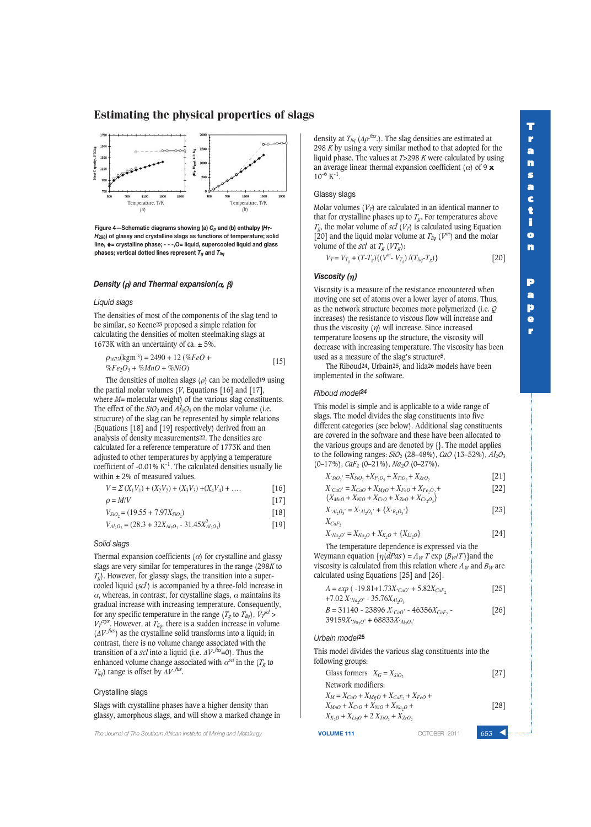

**Figure 4—Schematic diagrams showing (a)** *Cp* **and (b) enthalpy (***HT***-***H***298) of glassy and crystalline slags as functions of temperature; solid line,** ♦**= crystalline phase; - - -,O= liquid, supercooled liquid and glass phases; vertical dotted lines represent** *Tg* **and** *Tliq*

# *Density (*ρ*) and Thermal expansion(*α*,* β*)*

#### *Liquid slags*

The densities of most of the components of the slag tend to be similar, so Keene**23** proposed a simple relation for calculating the densities of molten steelmaking slags at 1673K with an uncertainty of ca.  $\pm$  5%.

$$
\rho_{1673}(\text{kgm-3}) = 2490 + 12 \left( \%FeO +\%Fe2O3 + %MnO + %NiO \right)
$$
 [15]

The densities of molten slags (ρ) can be modelled**19** using the partial molar volumes (*V*, Equations [16] and [17], where *M*= molecular weight) of the various slag constituents. The effect of the  $SiO_2$  and  $Al_2O_3$  on the molar volume (i.e. structure) of the slag can be represented by simple relations (Equations [18] and [19] respectively) derived from an analysis of density measurements**22**. The densities are calculated for a reference temperature of 1773K and then adjusted to other temperatures by applying a temperature coefficient of -0.01%  $K^{-1}$ . The calculated densities usually lie within  $\pm$  2% of measured values.

$$
V = \sum (X_1 V_1) + (X_2 V_2) + (X_3 V_3) + (X_4 V_4) + \dots
$$
 [16]

$$
\rho = M/V \tag{17}
$$

$$
V_{SiO_2} = (19.55 + 7.97X_{SiO_2})
$$
\n[18]

$$
V_{Al_2O_3} = (28.3 + 32X_{Al_2O_3} - 31.45X_{Al_2O_3}^2)
$$
 [19]

# *Solid slags*

Thermal expansion coefficients  $(\alpha)$  for crystalline and glassy slags are very similar for temperatures in the range (298*K* to  $T_g$ ). However, for glassy slags, the transition into a supercooled liquid (*scl* ) is accompanied by a three-fold increase in  $\alpha$ , whereas, in contrast, for crystalline slags,  $\alpha$  maintains its gradual increase with increasing temperature. Consequently, for any specific temperature in the range ( $T_g$  to  $T_{liq}$ ),  $V_T^{scl}$  >  $V_T^{crys}$ . However, at  $T_{liq}$ , there is a sudden increase in volume (Δ*V fus* ) as the crystalline solid transforms into a liquid; in contrast, there is no volume change associated with the transition of a *scl* into a liquid (i.e.  $\Delta V$  *fus*=0). Thus the enhanced volume change associated with  $\alpha^{scl}$  in the ( $T_g$  to  $T_{liq}$ ) range is offset by  $\Delta V$  *fus*.

## Crystalline slags

Slags with crystalline phases have a higher density than glassy, amorphous slags, and will show a marked change in

**The Journal of The Southern African Institute of Mining and Metallurgy <b>VOLUME 111 VOLUME 111 COTOBER 2011** 

density at  $T_{liq}$  ( $\Delta \rho^{fus}$ .). The slag densities are estimated at 298 *K* by using a very similar method to that adopted for the liquid phase. The values at *T*>298 *K* were calculated by using an average linear thermal expansion coefficient ( $\alpha$ ) of 9 **x**  $10^{-6}$  K<sup>-1</sup>.

## Glassy slags

Molar volumes  $(V_T)$  are calculated in an identical manner to that for crystalline phases up to  $T_g$ . For temperatures above  $T_g$ , the molar volume of *scl* ( $V_T$ ) is calculated using Equation [20] and the liquid molar volume at  $T_{liq}$  ( $V^m$ ) and the molar volume of the *scl* at  $T_g$  ( $VT_g$ ):

 $V_T = V_{T_g} + (T - T_g) \{ (V^m - V_{T_g}) / (T_{liq} - T_g) \}$  [20]

# *Viscosity (*η*)*

Viscosity is a measure of the resistance encountered when moving one set of atoms over a lower layer of atoms. Thus, as the network structure becomes more polymerized (i.e. *Q* increases) the resistance to viscous flow will increase and thus the viscosity  $(\eta)$  will increase. Since increased temperature loosens up the structure, the viscosity will decrease with increasing temperature. The viscosity has been used as a measure of the slag's structure**5**.

The Riboud**24**, Urbain**25**, and Iida**26** models have been implemented in the software.

## *Riboud model<sup>24</sup>*

This model is simple and is applicable to a wide range of slags. The model divides the slag constituents into five different categories (see below). Additional slag constituents are covered in the software and these have been allocated to the various groups and are denoted by {}. The model applies to the following ranges:  $SiO_2$  (28–48%), *CaO* (13–52%),  $Al_2O_3$ (0–17%), *CaF*<sup>2</sup> (0–21%), *Na*2*O* (0–27%).

$$
X°SiO2 = XSiO2 + XP2O5 + XTiO2 + XZrO2
$$
\n[21]  
\n
$$
X·CaO = XCaO + XMgO + XFeO + XFeO2
$$
\n[22]

$$
\{X_{MnO} + X_{NiO} + X_{CrO} + X_{ZnO} + X_{Cr_2O_3}\}
$$
  

$$
X'_{Al_2O_3} = X'_{Al_2O_3} + \{X'_{B_2O_3}\}
$$
 [23]

 $X_{CaF_2}$ 

$$
X_{'Na_2O'} = X_{Na_2O} + X_{K_2O} + \{X_{Li_2O}\}
$$
 [24]

The temperature dependence is expressed via the Weymann equation  $\{\eta(dPas) = A_W T \exp(B_W/T)\}\$ and the viscosity is calculated from this relation where  $A_W$  and  $B_W$  are calculated using Equations [25] and [26].

| $A = exp(-19.81+1.73X_{cao}+5.82X_{CaF_2})$ | $[25]$ |
|---------------------------------------------|--------|
| $+7.02 X_{Na_2O}$ - 35.76 $X_{Al_2O_3}$     |        |
| $B = 31140 - 23896 X_{cao} - 46356 X_{CaF}$ | $[26]$ |

# *Urbain model***<sup>25</sup>**

 $39159X<sub>Y</sub>_{Nq_2}O'$  + 68833X<sup>*'*</sup>*Al<sub>2</sub>O<sub>2</sub></sub>'* 

This model divides the various slag constituents into the following groups:

Glass formers 
$$
X_G = X_{SiO_2}
$$
 [27]  
\nNetwork modifications:  
\n $X_M = X_{CaO} + X_{MgO} + X_{CaF_2} + X_{FeO} + X_{MnO} + X_{CrO} + X_{NiO} + X_{Na_2O} + X_{Li_2O} + 2 X_{TiO_2} + X_{ZrO_2}$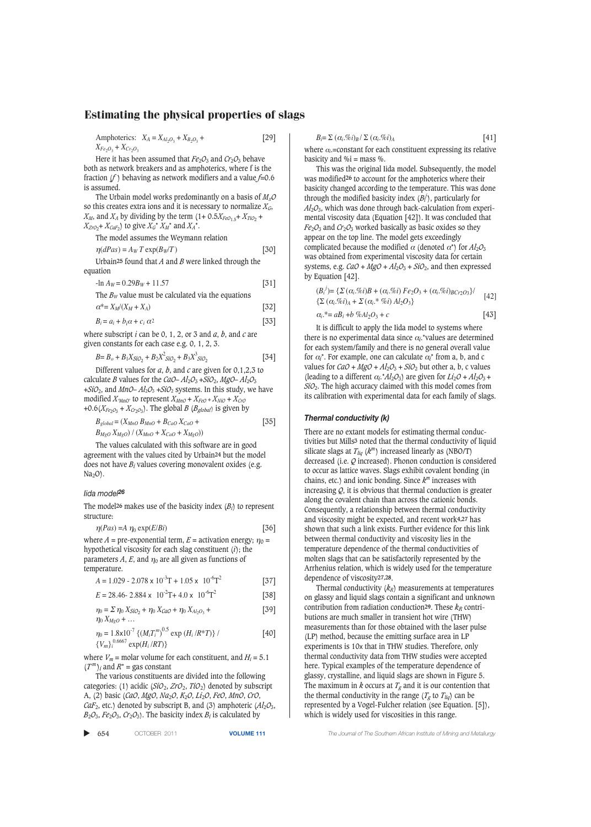Amphoterics:  $X_A = X_{A1_2O_3} + X_{B_2O_3} +$  [29]  $X_{Fe_2O_3} + X_{Cr_2O_3}$ 

Here it has been assumed that  $Fe<sub>2</sub>O<sub>3</sub>$  and  $Cr<sub>2</sub>O<sub>3</sub>$  behave both as network breakers and as amphoterics, where f is the fraction (*f* ) behaving as network modifiers and a value *f*=0.6 is assumed.

The Urbain model works predominantly on a basis of *MxO* so this creates extra ions and it is necessary to normalize *XG*,  $X_M$ , and  $X_A$  by dividing by the term  $(1+0.5X_{FeO_1.5}+X_{TiO_2}+$  $X_{ZrO_2}$ +  $X_{CaF_2}$ ) to give  $X_G^* X_M^*$  and  $X_A^*$ .

The model assumes the Weymann relation

$$
\eta(dPas) = A_W T \exp(B_W/T) \tag{30}
$$

Urbain**25** found that *A* and *B* were linked through the equation

 $-\ln A_W = 0.29B_W + 11.57$  [31]

The 
$$
B_W
$$
 value must be calculated via the equations  

$$
\alpha^* = X_M/(X_M + X_A)
$$
 [32]

$$
B_i = a_i + b_i \alpha + c_i \alpha^2
$$
 [33]

where subscript *i* can be 0, 1, 2, or 3 and *a*, *b*, and *c* are given constants for each case e.g. 0, 1, 2, 3.

$$
B = B_o + B_1 X_{SiO_2} + B_2 X^2_{SiO_2} + B_3 X^3_{SiO_2}
$$
 [34]

Different values for *a*, *b*, and *c* are given for 0,1,2,3 to calculate *B* values for the *CaO–*  $Al_2O_3 + SiO_2$ *, MgO–*  $Al_2O_3$  $+SiO_2$ , and *MnO– Al*<sub>2</sub> $O_3$  +*SiO*<sub>2</sub> systems. In this study, we have modified  $X_{MnO}$  to represent  $X_{MnO} + X_{FeO} + X_{NiO} + X_{CrO}$ +0.6( $X_{Fe_2O_3}$  +  $X_{Cr_2O_3}$ ). The global *B* ( $B_{global}$ ) is given by

$$
B_{global} = (X_{MnO} B_{MnO} + B_{CaO} X_{CaO} + B_{MgO} X_{MgO}) / (X_{MnO} + X_{CaO} + X_{MgO}))
$$
\n[35]

The values calculated with this software are in good agreement with the values cited by Urbain**24** but the model does not have *Bi* values covering monovalent oxides (e.g.  $Na<sub>2</sub>O$ ).

# *Iida model<sup>26</sup>*

The model**<sup>26</sup>** makes use of the basicity index (*Bi*) to represent structure:

$$
\eta(Pas) = A \eta_0 \exp(E/Bi)
$$
 [36]

where  $A =$  pre-exponential term,  $E =$  activation energy;  $\eta_0 =$ hypothetical viscosity for each slag constituent (*i*); the parameters  $A$ ,  $E$ , and  $\eta_0$  are all given as functions of temperature.

$$
A = 1.029 - 2.078 \times 10^{-3} \text{T} + 1.05 \times 10^{-6} \text{T}^2 \tag{37}
$$

$$
E = 28.46 - 2.884 \times 10^{-2} \text{T} + 4.0 \times 10^{-6} \text{T}^2 \tag{58}
$$

$$
\eta_0 = \sum \eta_0 X_{SiO_2} + \eta_0 X_{CaO} + \eta_0 X_{Al_2O_3} + \eta_0 X_{MeO} + ...
$$
\n[39]

$$
\eta_0 = 1.8 \times 10^{-7} \left\{ (M_i T_i^m)^{0.5} \exp\left(H_i / R^* T\right) \right\} / \tag{40}
$$
\n
$$
\left\{ V_m \right\}^{0.6667} \exp\left(H_i / R T\right) \}
$$

where  $V_m$  = molar volume for each constituent, and  $H_i$  = 5.1  $(T^m)_i$  and  $R^*$  = gas constant

The various constituents are divided into the following categories: (1) acidic  $(SiO_2, ZrO_2, TiO_2)$  denoted by subscript A, (2) basic (*CaO*, *MgO*, *Na*2*O*, *K*2*O*, *Li*2*O*, *FeO*, *MnO*, *CrO*, *CaF*<sub>2</sub>, etc.) denoted by subscript B, and (3) amphoteric  $(Al_2O_3,$  $B_2O_3$ ,  $Fe_2O_3$ ,  $Cr_2O_3$ ). The basicity index  $B_i$  is calculated by

▲

$$
B_i = \sum (\alpha_i \mathcal{R} \circ i)_B / \sum (\alpha_i \mathcal{R} \circ i)_A
$$
 [41]

where <sup>α</sup>*i*.=constant for each constituent expressing its relative basicity and  $\%$  i = mass  $\%$ .

This was the original Iida model. Subsequently, the model was modified**26** to account for the amphoterics where their basicity changed according to the temperature. This was done through the modified basicity index (*Bi j* ), particularly for *Al*2*O*3, which was done through back-calculation from experimental viscosity data (Equation [42]). It was concluded that  $Fe<sub>2</sub>O<sub>3</sub>$  and  $Cr<sub>2</sub>O<sub>3</sub>$  worked basically as basic oxides so they appear on the top line. The model gets exceedingly complicated because the modified  $\alpha$  (denoted  $\alpha^*$ ) for  $Al_2O_3$ was obtained from experimental viscosity data for certain systems, e.g.  $CaO + MgO + Al_2O_3 + SiO_2$ , and then expressed by Equation [42].

$$
(B_i^j) = \{ \Sigma (\alpha_i \text{ % } \delta) B + (\alpha_i \text{ % } \delta) F e_2 O_3 + (\alpha_i \text{ % } \delta) B c_{r2} O_3 \} / \quad [42] \{\Sigma (\alpha_i \text{ % } \delta) A + \Sigma (\alpha_i \text{ % } \delta) A l_2 O_3 \} \alpha_i \text{ * } = a B_i + b \text{ % } \delta l_2 O_3 + c \quad [43]
$$

It is difficult to apply the Iida model to systems where there is no experimental data since  $\alpha_i$ <sup>\*</sup>values are determined for each system/family and there is no general overall value for  $\alpha_i^*$ . For example, one can calculate  $\alpha_i^*$  from a, b, and c values for  $CaO + MgO + Al_2O_3 + SiO_2$  but other a, b, c values (leading to a different  $\alpha_i$ <sup>\*</sup> $Al_2O_3$ ) are given for  $Li_2O + Al_2O_3 +$ *SiO*2. The high accuracy claimed with this model comes from its calibration with experimental data for each family of slags.

#### *Thermal conductivity (k)*

There are no extant models for estimating thermal conductivities but Mills**3** noted that the thermal conductivity of liquid silicate slags at  $T_{liq}$  ( $k^m$ ) increased linearly as (NBO/T) decreased (i.e. *Q* increased). Phonon conduction is considered to occur as lattice waves. Slags exhibit covalent bonding (in chains, etc.) and ionic bonding. Since *km* increases with increasing  $Q$ , it is obvious that thermal conduction is greater along the covalent chain than across the cationic bonds. Consequently, a relationship between thermal conductivity and viscosity might be expected, and recent work**4,27** has shown that such a link exists. Further evidence for this link between thermal conductivity and viscosity lies in the temperature dependence of the thermal conductivities of molten slags that can be satisfactorily represented by the Arrhenius relation, which is widely used for the temperature dependence of viscosity**27,28**.

Thermal conductivity  $(k_R)$  measurements at temperatures on glassy and liquid slags contain a significant and unknown contribution from radiation conduction<sup>29</sup>. These  $k_R$  contributions are much smaller in transient hot wire (THW) measurements than for those obtained with the laser pulse (LP) method, because the emitting surface area in LP experiments is 10x that in THW studies. Therefore, only thermal conductivity data from THW studies were accepted here. Typical examples of the temperature dependence of glassy, crystalline, and liquid slags are shown in Figure 5. The maximum in  $k$  occurs at  $T_g$  and it is our contention that the thermal conductivity in the range ( $T_g$  to  $T_{liq}$ ) can be represented by a Vogel-Fulcher relation (see Equation. [5]), which is widely used for viscosities in this range.

654 OCTOBER 2011 **VOLUME 111** *The Journal of The Southern African Institute of Mining and Metallurgy*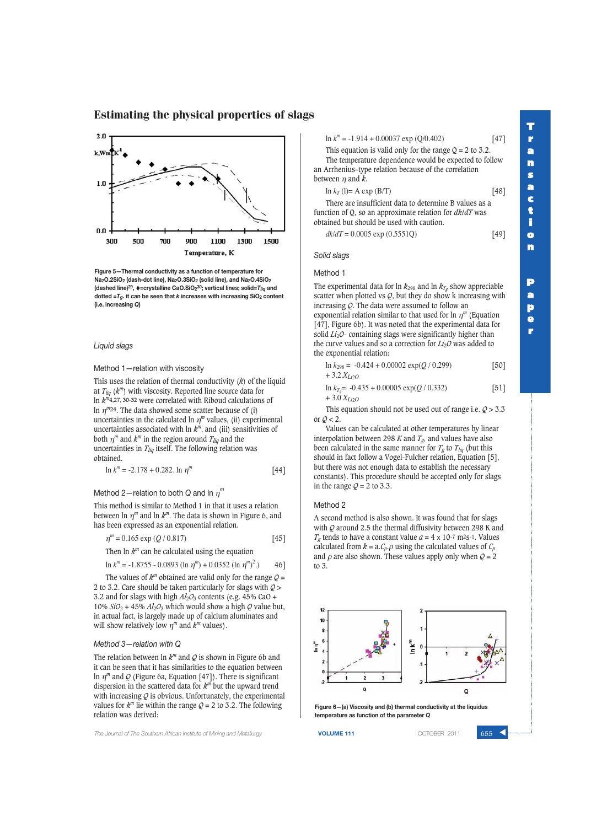

**Figure 5—Thermal conductivity as a function of temperature for Na2O.2SiO2 (dash-dot line), Na2O.3SiO2 (solid line), and Na2O.4SiO2 (dashed line)29,** ♦**=crystalline CaO.SiO230; vertical lines; solid=***Tliq* **and dotted =** $T_q$ **. it can be seen that** *k* **increases with increasing SiO<sub>2</sub> content (i.e. increasing** *Q***)**

*Liquid slags*

Method 1—relation with viscosity

This uses the relation of thermal conductivity (*k*) of the liquid at  $T_{liq}$  ( $k^m$ ) with viscosity. Reported line source data for ln *km***4,27, 30-32** were correlated with Riboud calculations of ln  $\eta^{m}$ 24. The data showed some scatter because of (i) uncertainties in the calculated ln  $\eta^m$  values, (ii) experimental uncertainties associated with  $\ln k^m$ , and (iii) sensitivities of both  $\eta^m$  and  $k^m$  in the region around  $T_{liq}$  and the uncertainties in *Tliq* itself. The following relation was obtained.

$$
\ln k^{m} = -2.178 + 0.282. \ln \eta^{m}
$$
 [44]

# Method 2—relation to both *Q* and ln η *m*

This method is similar to Method 1 in that it uses a relation between  $\ln \eta^m$  and  $\ln k^m$ . The data is shown in Figure 6, and has been expressed as an exponential relation.

$$
\eta^{m} = 0.165 \exp(Q / 0.817) \tag{45}
$$

Then  $\ln k^m$  can be calculated using the equation

 $\ln k^{m} = -1.8755 - 0.0893$  ( $\ln \eta^{m}$ ) + 0.0352 ( $\ln \eta^{m}$ )<sup>2</sup> .) 46]

The values of  $k^m$  obtained are valid only for the range  $Q =$ 2 to 3.2. Care should be taken particularly for slags with *Q* > 3.2 and for slags with high  $Al_2O_3$  contents (e.g. 45% CaO + 10%  $SiO_2$  + 45%  $Al_2O_3$  which would show a high  $Q$  value but, in actual fact, is largely made up of calcium aluminates and will show relatively low  $\eta^m$  and  $k^m$  values).

#### *Method 3—relation with Q*

The relation between  $\ln k^m$  and  $Q$  is shown in Figure 6b and it can be seen that it has similarities to the equation between ln η*<sup>m</sup>* and *Q* (Figure 6a, Equation [47]). There is significant dispersion in the scattered data for *km* but the upward trend with increasing  $Q$  is obvious. Unfortunately, the experimental values for  $k^m$  lie within the range  $Q = 2$  to 3.2. The following relation was derived:

**The Journal of The Southern African Institute of Mining and Metallurgy <b>VOLUME 111 VOLUME 111 COLUME 111 COLUME 111** 

ln *k <sup>m</sup>* = -1.914 + 0.00037 exp (Q/0.402) [47]

This equation is valid only for the range  $Q = 2$  to 3.2. The temperature dependence would be expected to follow an Arrhenius–type relation because of the correlation between  $\eta$  and  $k$ .

| $\ln k_T$ (1)= A exp (B/T) | $[48]$ |
|----------------------------|--------|

There are insufficient data to determine B values as a function of Q, so an approximate relation for *dk*/*dT* was obtained but should be used with caution.

*dk*/*dT* = 0.0005 exp (0.5551Q) [49]

*Solid slags*

#### Method 1

The experimental data for  $\ln k_{298}$  and  $\ln k_{T_g}$  show appreciable scatter when plotted vs  $Q$ , but they do show k increasing with increasing *Q*. The data were assumed to follow an exponential relation similar to that used for  $\ln \eta^m$  (Equation [47], Figure 6b). It was noted that the experimental data for solid *Li<sub>2</sub>O*- containing slags were significantly higher than the curve values and so a correction for *Li*2*O* was added to the exponential relation:

| $\ln k_{298} = -0.424 + 0.00002 \exp(Q/0.299)$ | $[50]$ |
|------------------------------------------------|--------|
| + 3.2. $X_{Li2O}$                              |        |

$$
\ln k_{T_s} = -0.435 + 0.00005 \exp(Q/0.332) \tag{51}
$$
  
+ 3.0  $X_{Li_2O}$ 

This equation should not be used out of range i.e. *Q* > 3.3 or  $Q < 2$ .

Values can be calculated at other temperatures by linear interpolation between 298 *K* and  $T_g$ , and values have also been calculated in the same manner for  $T_g$  to  $T_{liq}$  (but this should in fact follow a Vogel-Fulcher relation, Equation [5], but there was not enough data to establish the necessary constants). This procedure should be accepted only for slags in the range  $Q = 2$  to 3.3.

#### Method 2

A second method is also shown. It was found that for slags with *Q* around 2.5 the thermal diffusivity between 298 K and  $T_g$  tends to have a constant value  $a = 4 \times 10^{-7}$  m<sup>2</sup>s<sup>-1</sup>. Values calculated from  $k = a.C_p.o$  using the calculated values of  $C_p$ and  $\rho$  are also shown. These values apply only when  $Q = 2$ to 3.



**Figure 6—(a) Viscosity and (b) thermal conductivity at the liquidus temperature as function of the parameter** *Q*

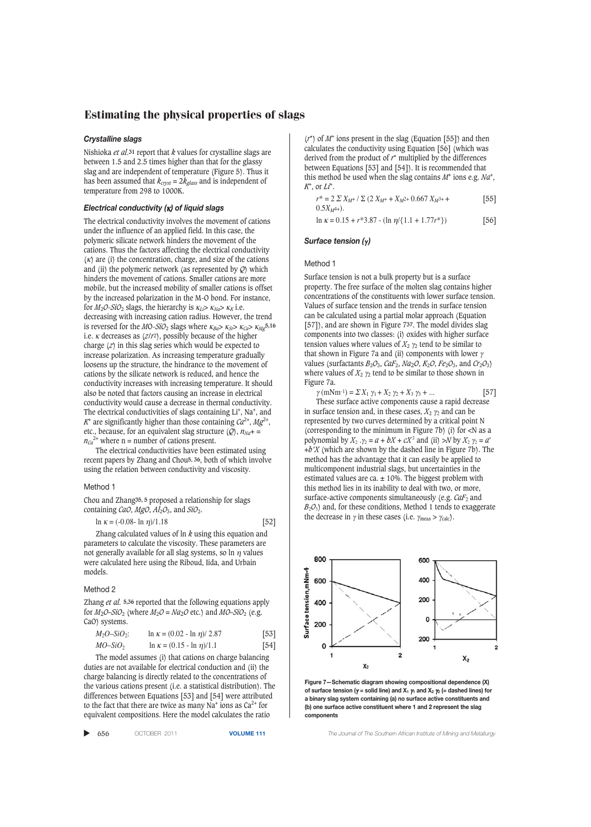## *Crystalline slags*

Nishioka *et al*.**31** report that *k* values for crystalline slags are between 1.5 and 2.5 times higher than that for the glassy slag and are independent of temperature (Figure 5). Thus it has been assumed that  $k_{cryst} = 2k_{glass}$  and is independent of temperature from 298 to 1000K.

#### *Electrical conductivity (*κ*) of liquid slags*

The electrical conductivity involves the movement of cations under the influence of an applied field. In this case, the polymeric silicate network hinders the movement of the cations. Thus the factors affecting the electrical conductivity  $(k)$  are (i) the concentration, charge, and size of the cations and (ii) the polymeric network (as represented by *Q*) which hinders the movement of cations. Smaller cations are more mobile, but the increased mobility of smaller cations is offset by the increased polarization in the M-O bond. For instance, for  $M_2O-SiO_2$  slags, the hierarchy is  $\kappa_{Li} > \kappa_{Na} > \kappa_K$  i.e. decreasing with increasing cation radius. However, the trend is reversed for the *M*O-*SiO*<sub>2</sub> slags where  $\kappa_{Ba} > \kappa_{Sr} > \kappa_{Ca} > \kappa_{Mg}$ 5,16 i.e. <sup>κ</sup> decreases as (*z*/*r*2), possibly because of the higher charge (*z*) in this slag series which would be expected to increase polarization. As increasing temperature gradually loosens up the structure, the hindrance to the movement of cations by the silicate network is reduced, and hence the conductivity increases with increasing temperature. It should also be noted that factors causing an increase in electrical conductivity would cause a decrease in thermal conductivity. The electrical conductivities of slags containing Li<sup>+</sup>, Na<sup>+</sup>, and  $K^+$  are significantly higher than those containing  $Ca^{2+}$ ,  $Mg^{2+}$ , etc., because, for an equivalent slag structure  $(Q)$ ,  $n_{Na}$ + =  $n_{Ca}^{2+}$  where n = number of cations present.

The electrical conductivities have been estimated using recent papers by Zhang and Chou**5, 36**, both of which involve using the relation between conductivity and viscosity.

#### Method 1

Chou and Zhang**35, 5** proposed a relationship for slags containing *CaO*,  $MgO$ ,  $Al_2O_3$ , and  $SiO_2$ .

$$
\ln \kappa = (-0.08 - \ln \eta)/1.18
$$
 [52]

Zhang calculated values of ln *k* using this equation and parameters to calculate the viscosity. These parameters are not generally available for all slag systems, so ln  $\eta$  values were calculated here using the Riboud, Iida, and Urbain models.

#### Method 2

Zhang *et al.* **5,36** reported that the following equations apply for  $M_2O$ –*SiO*<sub>2</sub> (where  $M_2O = Na_2O$  etc.) and  $MO$ –*SiO*<sub>2</sub> (e.g. CaO) systems.

*M*2*O*–*SiO*2: ln <sup>κ</sup> = (0.02 - ln η)/ 2.87 [53] *MO*–*SiO*<sup>2</sup> ln <sup>κ</sup> = (0.15 - ln η)/1.1 [54]

The model assumes (i) that cations on charge balancing duties are not available for electrical conduction and (ii) the charge balancing is directly related to the concentrations of the various cations present (i.e. a statistical distribution). The differences between Equations [53] and [54] were attributed to the fact that there are twice as many Na<sup>+</sup> ions as  $Ca^{2+}$  for equivalent compositions. Here the model calculates the ratio

| 656<br>OCTOBER 2011<br><b>VOLUME 11</b> |
|-----------------------------------------|
|-----------------------------------------|

(*r*\*) of *M*<sup>+</sup> ions present in the slag (Equation [55]) and then calculates the conductivity using Equation [56] (which was derived from the product of *r*\* multiplied by the differences between Equations [53] and [54]). It is recommended that this method be used when the slag contains *M*<sup>+</sup> ions e.g. *Na*<sup>+</sup> , *K*+ , or *Li*<sup>+</sup> .

| $r^* = 2 \sum X_{M^+} / \sum (2 X_{M^+} + X_{M^2} + 0.667 X_{M^3} +$ | $[55]$ |
|----------------------------------------------------------------------|--------|
| $0.5X_{M^{4+}}$ .                                                    |        |
| $\ln \kappa = 0.15 + r*3.87 - (\ln \eta / (1.1 + 1.77r*)$            | $[56]$ |

#### *Surface tension (*γ *)*

Method 1

Surface tension is not a bulk property but is a surface property. The free surface of the molten slag contains higher concentrations of the constituents with lower surface tension. Values of surface tension and the trends in surface tension can be calculated using a partial molar approach (Equation [57]), and are shown in Figure 7**37**. The model divides slag components into two classes: (i) oxides with higher surface tension values where values of  $X_2$   $\gamma_2$  tend to be similar to that shown in Figure 7a and (ii) components with lower  $\gamma$ values (surfactants  $B_2O_3$ ,  $CaF_2$ ,  $Na_2O$ ,  $K_2O$ ,  $Fe_2O_3$ , and  $Cr_2O_3$ ) where values of  $X_2$   $\gamma_2$  tend to be similar to those shown in Figure 7a.

 $\gamma$  (mNm<sup>-1</sup>) =  $\sum X_1 \gamma_1 + X_2 \gamma_2 + X_3 \gamma_3 + ...$  [57] These surface active components cause a rapid decrease in surface tension and, in these cases,  $X_2$   $\gamma_2$  and can be represented by two curves determined by a critical point N (corresponding to the minimum in Figure 7b) (i) for  $\langle N \rangle$  as a polynomial by  $X_2 \cdot Y_2 = a + bX + cX^2$  and (ii)  $\Rightarrow N$  by  $X_2 \gamma_2 = a^2$ +*b'X* (which are shown by the dashed line in Figure 7b). The method has the advantage that it can easily be applied to multicomponent industrial slags, but uncertainties in the estimated values are ca.  $\pm$  10%. The biggest problem with this method lies in its inability to deal with two, or more, surface-active components simultaneously (e.g. *CaF*<sub>2</sub> and  $B_2O_3$ ) and, for these conditions, Method 1 tends to exaggerate the decrease in  $\gamma$  in these cases (i.e.  $\gamma_{\text{meas}} > \gamma_{\text{calc}}$ ).



**Figure 7—Schematic diagram showing compositional dependence (X) of surface tension (**γ **= solid line) and X1** γ**<sup>1</sup> and X2** γ**<sup>2</sup> (= dashed lines) for a binary slag system containing (a) no surface active constituents and (b) one surface active constituent where 1 and 2 represent the slag components**

656 OCTOBER 2011 **VOLUME 111** *The Journal of The Southern African Institute of Mining and Metallurgy*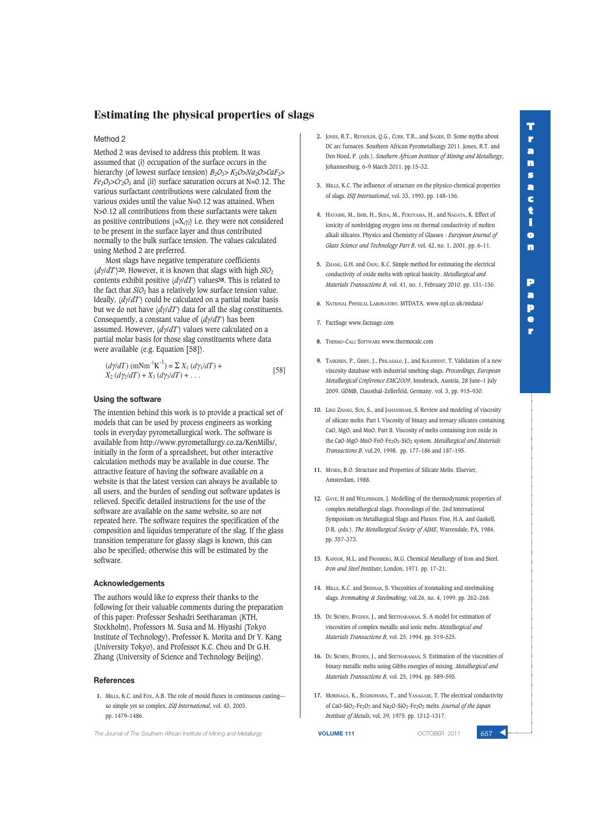**T**

# Estimating the physical properties of slags

# Method 2

Method 2 was devised to address this problem. It was assumed that (i) occupation of the surface occurs in the hierarchy (of lowest surface tension) *B*2*O*3> *K*2*O*>*Na*2*O*>*CaF*2>  $Fe<sub>2</sub>O<sub>3</sub> > Cr<sub>2</sub>O<sub>3</sub>$  and (ii) surface saturation occurs at N=0.12. The various surfactant contributions were calculated from the various oxides until the value N=0.12 was attained. When N>0.12 all contributions from these surfactants were taken as positive contributions  $(=\chi_i\gamma_i)$  i.e. they were not considered to be present in the surface layer and thus contributed normally to the bulk surface tension. The values calculated using Method 2 are preferred.

Most slags have negative temperature coefficients  $\frac{d\psi}{dT}$  (20. However, it is known that slags with high  $\frac{SiO_2}{T}$ contents exhibit positive (*d*γ/*dT* ) values**38**. This is related to the fact that *SiO*<sub>2</sub> has a relatively low surface tension value. Ideally, (*d*γ/*dT* ) could be calculated on a partial molar basis but we do not have  $\left(\frac{d\gamma}{dT}\right)$  data for all the slag constituents. Consequently, a constant value of (*d*γ/*dT* ) has been assumed. However, (*d*γ/*dT* ) values were calculated on a partial molar basis for those slag constituents where data were available (e.g. Equation [58]).

$$
(d\gamma/dT) (mNm^{-1}K^{-1}) = \sum X_1 (d\gamma_1/dT) +X_2 (d\gamma_2/dT) + X_3 (d\gamma_3/dT) + ...
$$
 [58]

## **Using the software**

The intention behind this work is to provide a practical set of models that can be used by process engineers as working tools in everyday pyrometallurgical work. The software is available from http://www.pyrometallurgy.co.za/KenMills/, initially in the form of a spreadsheet, but other interactive calculation methods may be available in due course. The attractive feature of having the software available on a website is that the latest version can always be available to all users, and the burden of sending out software updates is relieved. Specific detailed instructions for the use of the software are available on the same website, so are not repeated here. The software requires the specification of the composition and liquidus temperature of the slag. If the glass transition temperature for glassy slags is known, this can also be specified; otherwise this will be estimated by the software.

#### **Acknowledgements**

The authors would like to express their thanks to the following for their valuable comments during the preparation of this paper: Professor Seshadri Seetharaman (KTH, Stockholm), Professors M. Susa and M. Hiyashi (Tokyo Institute of Technology), Professor K. Morita and Dr Y. Kang (University Tokyo), and Professor K.C. Chou and Dr G.H. Zhang (University of Science and Technology Beijing).

#### **References**

**1.** MILLS, K.C. and FOX, A.B. The role of mould fluxes in continuous casting so simple yet so complex. *ISIJ International*, vol. 43, 2003. pp. 1479–1486.

**The Journal of The Southern African Institute of Mining and Metallurgy <b>VOLUME 111 VOLUME 111 COTOBER 2011** 

- **2.** JONES, R.T., REYNOLDS, Q.G., CURR, T.R., and SAGER, D. Some myths about DC arc furnaces. Southern African Pyrometallurgy 2011. Jones, R.T. and Den Hoed, P. (eds.). *Southern African Institute of Mining and Metallurgy*, Johannesburg, 6–9 March 2011. pp.15–32.
- **3.** MILLS, K.C. The influence of structure on the physico-chemical properties of slags. *ISIJ International*, vol. 33, 1993. pp. 148–156.
- **4.** HAYASHI, M., ISHII, H., SUSA, M., FUKUYAMA, H., and NAGATA, K. Effect of ionicity of nonbridging oxygen ions on thermal conductivity of molten alkali silicates. Physics and Chemistry of Glasses - *European Journal of Glass Science and Technology Part B*, vol. 42, no. 1, 2001. pp. 6–11.
- **5.** ZHANG, G.H. and CHOU, K.C. Simple method for estimating the electrical conductivity of oxide melts with optical basicity. *Metallurgical and Materials Transactions B*, vol. 41, no. 1, February 2010. pp. 131–136.
- **6.** NATIONAL PHYSICAL LABORATORY. MTDATA. www.npl.co.uk/mtdata/
- **7.** FactSage www.factsage.com
- **8.** THERMO-CALC SOFTWARE www.thermocalc.com
- **9.** TASKINEN, P., GISBY, J., PIHLASALO, J., and KOLHINENT, T. Validation of a new viscosity database with industrial smelting slags. *Proceedings, European Metallurgical Conference EMC2009*, Innsbruck, Austria, 28 June–1 July 2009. GDMB, Clausthal-Zellerfeld, Germany. vol. 3, pp. 915–930.
- **10.** LING ZHANG, SUN, S., and JAHANSHAHI, S. Review and modeling of viscosity of silicate melts: Part I. Viscosity of binary and ternary silicates containing CaO, MgO, and MnO. Part II. Viscosity of melts containing iron oxide in the CaO-MgO-MnO-FeO-Fe2O3-SiO2 system. *Metallurgical and Materials Transactions B*, vol.29, 1998. pp. 177–186 and 187–195.
- **11.** MYSEN, B.O. Structure and Properties of Silicate Melts. Elsevier, Amsterdam, 1988.
- **12.** GAYE, H and WELFRINGER, J. Modelling of the thermodynamic properties of complex metallurgical slags. Proceedings of the. 2nd International Symposium on Metallurgical Slags and Fluxes. Fine, H.A. and Gaskell, D.R. (eds.). *The Metallurgical Society of AIME*, Warrendale, PA, 1984. pp. 357–373.
- **13.** KAPOOR, M.L. and FROHBERG, M.G. Chemical Metallurgy of Iron and Steel. *Iron and Steel Institute*, London, 1971. pp. 17–21.
- **14.** MILLS, K.C. and SRIDHAR, S. Viscosities of ironmaking and steelmaking slags. *Ironmaking & Steelmaking*, vol.26, no. 4, 1999. pp. 262–268.
- **15.** DU SICHEN, BYGDEN, J., and SEETHARAMAN, S. A model for estimation of viscosities of complex metallic and ionic melts. *Metallurgical and Materials Transactions B*, vol. 25, 1994. pp. 519–525.
- **16.** DU SICHEN, BYGDEN, J., and SEETHARAMAN, S. Estimation of the viscosities of binary metallic melts using Gibbs energies of mixing. *Metallurgical and Materials Transactions B*, vol. 25, 1994. pp. 589–595.
- **17.** MORINAGA, K., SUGINOHARA, T., and YANAGASE, T. The electrical conductivity of CaO-SiO2-Fe2O3 and Na2O-SiO2-Fe2O3 melts. *Journal of the Japan Institute of Metals*, vol. 39, 1975. pp. 1312–1317.